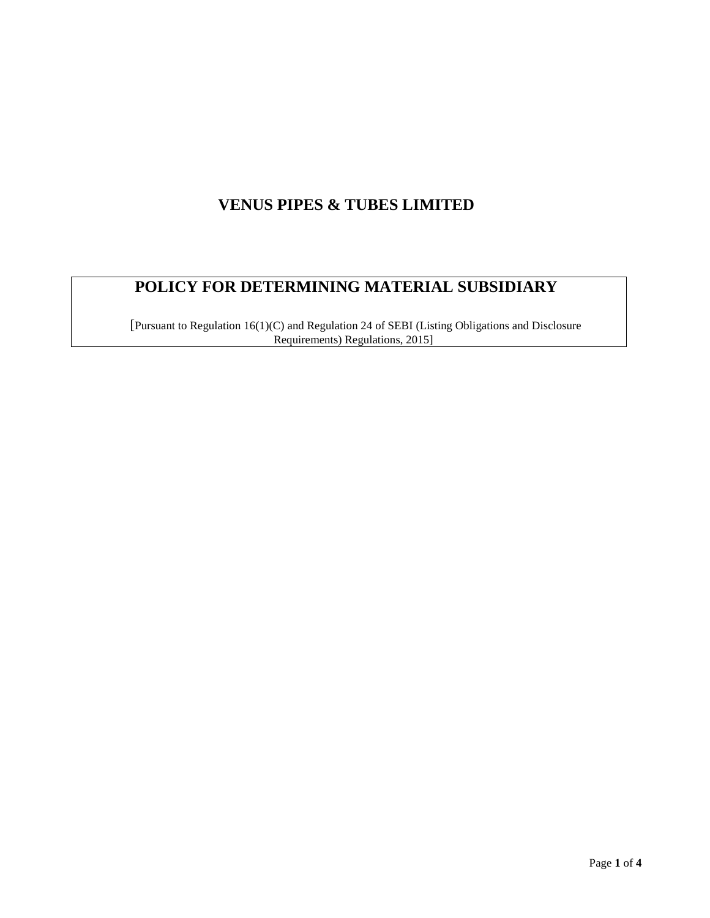# **VENUS PIPES & TUBES LIMITED**

# **POLICY FOR DETERMINING MATERIAL SUBSIDIARY**

[Pursuant to Regulation 16(1)(C) and Regulation 24 of SEBI (Listing Obligations and Disclosure Requirements) Regulations, 2015]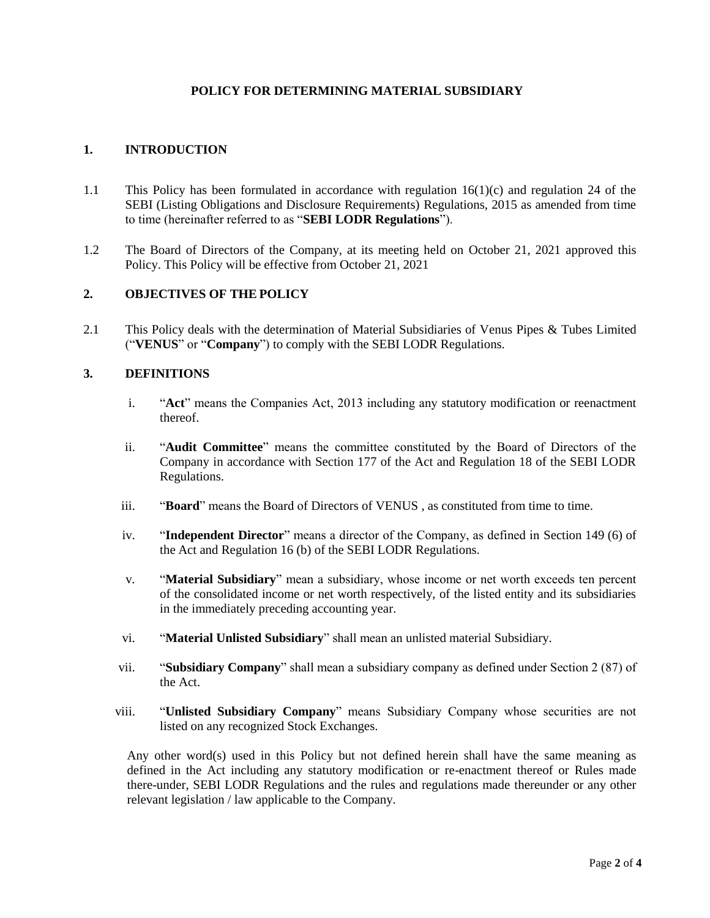#### **POLICY FOR DETERMINING MATERIAL SUBSIDIARY**

#### **1. INTRODUCTION**

- 1.1 This Policy has been formulated in accordance with regulation 16(1)(c) and regulation 24 of the SEBI (Listing Obligations and Disclosure Requirements) Regulations, 2015 as amended from time to time (hereinafter referred to as "**SEBI LODR Regulations**").
- 1.2 The Board of Directors of the Company, at its meeting held on October 21, 2021 approved this Policy. This Policy will be effective from October 21, 2021

#### **2. OBJECTIVES OF THE POLICY**

2.1 This Policy deals with the determination of Material Subsidiaries of Venus Pipes & Tubes Limited ("**VENUS**" or "**Company**") to comply with the SEBI LODR Regulations.

#### **3. DEFINITIONS**

- i. "**Act**" means the Companies Act, 2013 including any statutory modification or reenactment thereof.
- ii. "**Audit Committee**" means the committee constituted by the Board of Directors of the Company in accordance with Section 177 of the Act and Regulation 18 of the SEBI LODR Regulations.
- iii. "**Board**" means the Board of Directors of VENUS , as constituted from time to time.
- iv. "**Independent Director**" means a director of the Company, as defined in Section 149 (6) of the Act and Regulation 16 (b) of the SEBI LODR Regulations.
- v. "**Material Subsidiary**" mean a subsidiary, whose income or net worth exceeds ten percent of the consolidated income or net worth respectively, of the listed entity and its subsidiaries in the immediately preceding accounting year.
- vi. "**Material Unlisted Subsidiary**" shall mean an unlisted material Subsidiary.
- vii. "**Subsidiary Company**" shall mean a subsidiary company as defined under Section 2 (87) of the Act.
- viii. "**Unlisted Subsidiary Company**" means Subsidiary Company whose securities are not listed on any recognized Stock Exchanges.

Any other word(s) used in this Policy but not defined herein shall have the same meaning as defined in the Act including any statutory modification or re-enactment thereof or Rules made there-under, SEBI LODR Regulations and the rules and regulations made thereunder or any other relevant legislation / law applicable to the Company.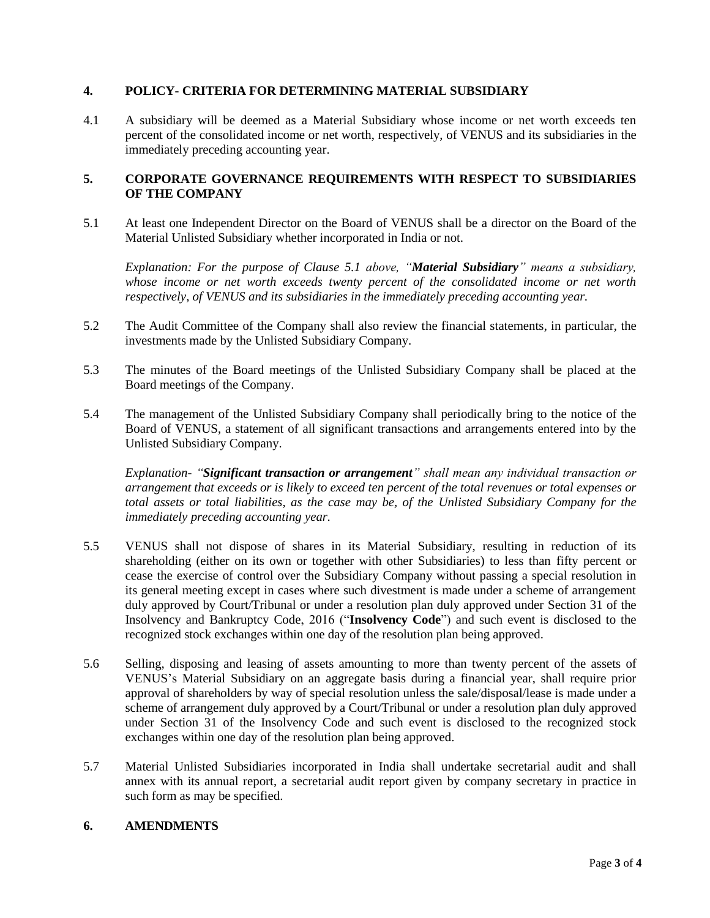#### **4. POLICY- CRITERIA FOR DETERMINING MATERIAL SUBSIDIARY**

4.1 A subsidiary will be deemed as a Material Subsidiary whose income or net worth exceeds ten percent of the consolidated income or net worth, respectively, of VENUS and its subsidiaries in the immediately preceding accounting year.

### **5. CORPORATE GOVERNANCE REQUIREMENTS WITH RESPECT TO SUBSIDIARIES OF THE COMPANY**

5.1 At least one Independent Director on the Board of VENUS shall be a director on the Board of the Material Unlisted Subsidiary whether incorporated in India or not.

*Explanation: For the purpose of Clause 5.1 above, "Material Subsidiary" means a subsidiary, whose income or net worth exceeds twenty percent of the consolidated income or net worth respectively, of VENUS and its subsidiaries in the immediately preceding accounting year.*

- 5.2 The Audit Committee of the Company shall also review the financial statements, in particular, the investments made by the Unlisted Subsidiary Company.
- 5.3 The minutes of the Board meetings of the Unlisted Subsidiary Company shall be placed at the Board meetings of the Company.
- 5.4 The management of the Unlisted Subsidiary Company shall periodically bring to the notice of the Board of VENUS, a statement of all significant transactions and arrangements entered into by the Unlisted Subsidiary Company.

*Explanation- "Significant transaction or arrangement" shall mean any individual transaction or arrangement that exceeds or is likely to exceed ten percent of the total revenues or total expenses or total assets or total liabilities, as the case may be, of the Unlisted Subsidiary Company for the immediately preceding accounting year.*

- 5.5 VENUS shall not dispose of shares in its Material Subsidiary, resulting in reduction of its shareholding (either on its own or together with other Subsidiaries) to less than fifty percent or cease the exercise of control over the Subsidiary Company without passing a special resolution in its general meeting except in cases where such divestment is made under a scheme of arrangement duly approved by Court/Tribunal or under a resolution plan duly approved under Section 31 of the Insolvency and Bankruptcy Code, 2016 ("**Insolvency Code**") and such event is disclosed to the recognized stock exchanges within one day of the resolution plan being approved.
- 5.6 Selling, disposing and leasing of assets amounting to more than twenty percent of the assets of VENUS's Material Subsidiary on an aggregate basis during a financial year, shall require prior approval of shareholders by way of special resolution unless the sale/disposal/lease is made under a scheme of arrangement duly approved by a Court/Tribunal or under a resolution plan duly approved under Section 31 of the Insolvency Code and such event is disclosed to the recognized stock exchanges within one day of the resolution plan being approved.
- 5.7 Material Unlisted Subsidiaries incorporated in India shall undertake secretarial audit and shall annex with its annual report, a secretarial audit report given by company secretary in practice in such form as may be specified.

#### **6. AMENDMENTS**